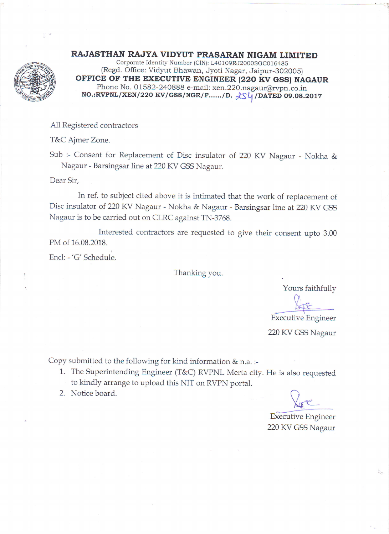

RAJASTHAN RAJYA VIDYUT PRASARAN NIGAM LIMITED

Corporate Identity Number (ClN): L40109RJ2000SGC016485 (Regd. Office: Vidyut Bhawan, Jyoti Nagar, Jaipur-302Q05) OFFICE OF THE EXECUTIVE ENGINEER (220 KV GSS) NAGAUR Phone No. 01582-240888 e-mail: xen.220.nagaur@rvpn.co.in  $NO.:RVPNL/XEN/220~KV/GSS/NGR/F....../D.$   $QS4/DATED$  09.08.2017

All Registered contractors

T&C Ajmer Zone.

Sub :- Consent for Replacement of Disc insulator of 220 KV Nagaur - Nokha & Nagaur - Barsingsar line at 220 KV GSS Nagaur.

Dear Sir,

In ref. to subject cited above it is intimated that the work of replacement of Disc insulator of 220 KV Nagaur - Nokha & Nagaur - Barsingsar line at 220 KV GSS Nagaur is to be carried out on CLRC against TN-3768.

Interested contractors are requested to give their consent upto 3.00 PM of 16.08.2018.

Encl: -'G'Schedule.

Thanking you.

Yours faithfully

Executive Engineer

220 KV GSS Nagaur

Copy submitted to the following for kind information & n.a. :-

- 1. The Superintending Engineer (T&C) RVPNL Merta city. He is also requested to kindly arrange to upload this NIT on RVPN portal.
- 2. Notice board.

 $\sqrt{\ }$ 

Executive Engineer 220 KV GSS Nagaur